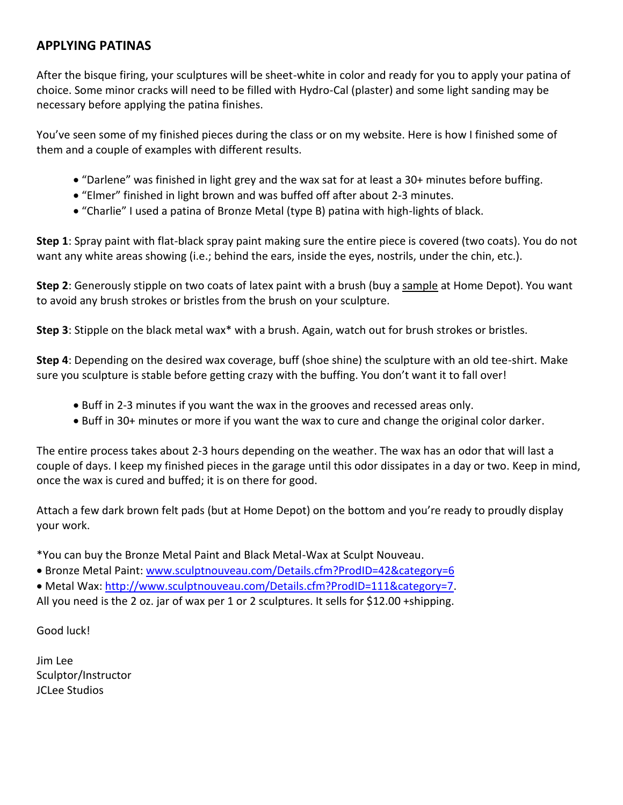## **APPLYING PATINAS**

After the bisque firing, your sculptures will be sheet-white in color and ready for you to apply your patina of choice. Some minor cracks will need to be filled with Hydro-Cal (plaster) and some light sanding may be necessary before applying the patina finishes.

You've seen some of my finished pieces during the class or on my website. Here is how I finished some of them and a couple of examples with different results.

- "Darlene" was finished in light grey and the wax sat for at least a 30+ minutes before buffing.
- "Elmer" finished in light brown and was buffed off after about 2-3 minutes.
- "Charlie" I used a patina of Bronze Metal (type B) patina with high-lights of black.

**Step 1**: Spray paint with flat-black spray paint making sure the entire piece is covered (two coats). You do not want any white areas showing (i.e.; behind the ears, inside the eyes, nostrils, under the chin, etc.).

**Step 2**: Generously stipple on two coats of latex paint with a brush (buy a sample at Home Depot). You want to avoid any brush strokes or bristles from the brush on your sculpture.

**Step 3**: Stipple on the black metal wax\* with a brush. Again, watch out for brush strokes or bristles.

**Step 4**: Depending on the desired wax coverage, buff (shoe shine) the sculpture with an old tee-shirt. Make sure you sculpture is stable before getting crazy with the buffing. You don't want it to fall over!

- Buff in 2-3 minutes if you want the wax in the grooves and recessed areas only.
- Buff in 30+ minutes or more if you want the wax to cure and change the original color darker.

The entire process takes about 2-3 hours depending on the weather. The wax has an odor that will last a couple of days. I keep my finished pieces in the garage until this odor dissipates in a day or two. Keep in mind, once the wax is cured and buffed; it is on there for good.

Attach a few dark brown felt pads (but at Home Depot) on the bottom and you're ready to proudly display your work.

\*You can buy the Bronze Metal Paint and Black Metal-Wax at Sculpt Nouveau.

- Bronze Metal Paint: [www.sculptnouveau.com/Details.cfm?ProdID=42&category=6](http://www.sculptnouveau.com/Details.cfm?ProdID=42&category=6)
- Metal Wax: [http://www.sculptnouveau.com/Details.cfm?ProdID=111&category=7.](http://www.sculptnouveau.com/Details.cfm?ProdID=111&category=7)

All you need is the 2 oz. jar of wax per 1 or 2 sculptures. It sells for \$12.00 +shipping.

Good luck!

Jim Lee Sculptor/Instructor JCLee Studios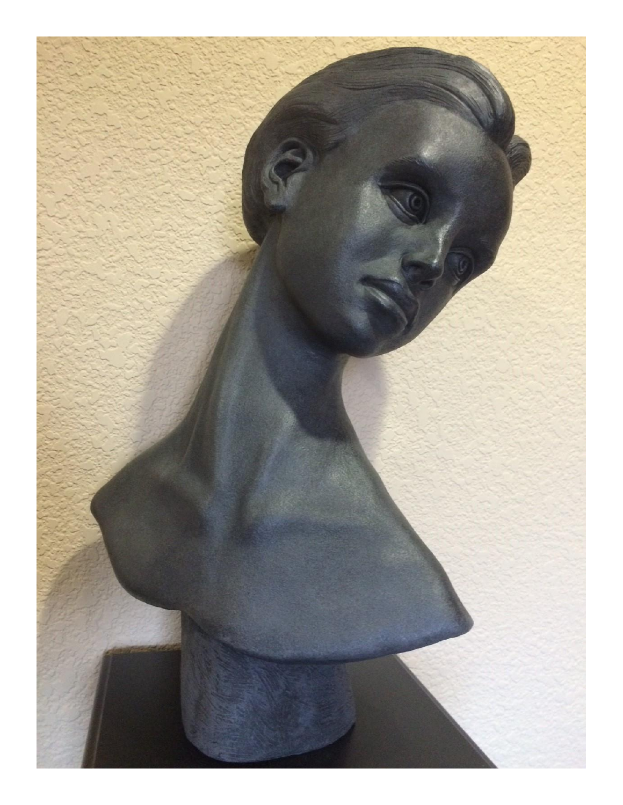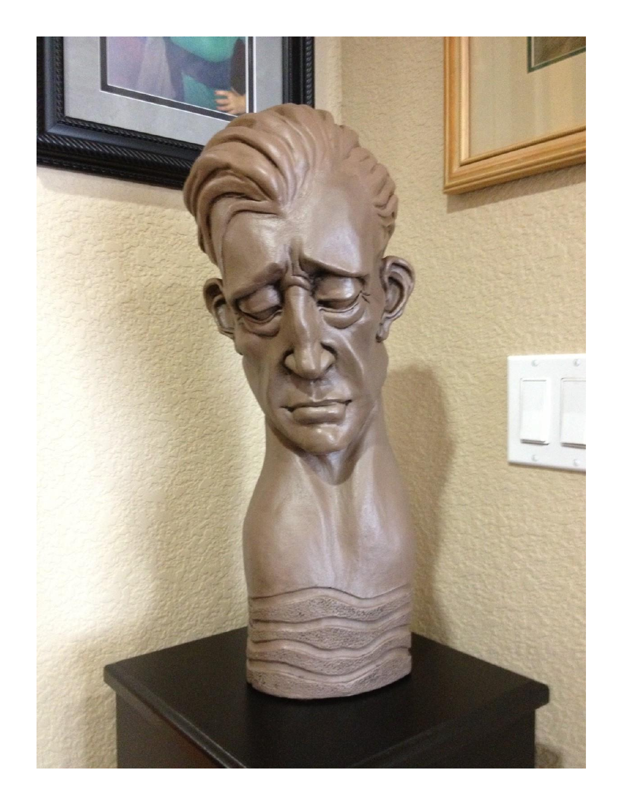